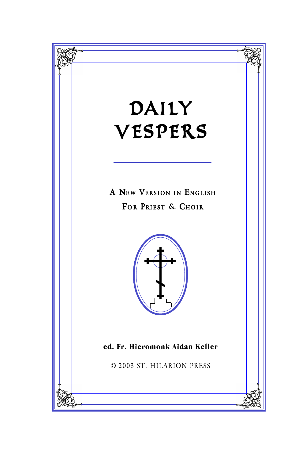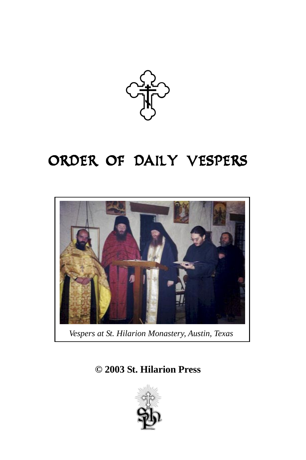

# ORDER OF DAILY VESPERS



*Vespers at St. Hilarion Monastery, Austin, Texas*

**© 2003 St. Hilarion Press**

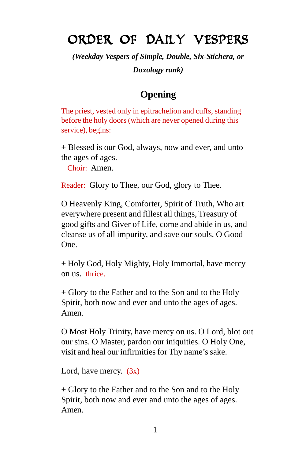# ORDER OF DAILY VESPERS

*(Weekday Vespers of Simple, Double, Six-Stichera, or Doxology rank)*

## **Opening**

The priest, vested only in epitrachelion and cuffs, standing before the holy doors (which are never opened during this service), begins:

+ Blessed is our God, always, now and ever, and unto the ages of ages.

Choir: Amen.

Reader: Glory to Thee, our God, glory to Thee.

O Heavenly King, Comforter, Spirit of Truth, Who art everywhere present and fillest all things, Treasury of good gifts and Giver of Life, come and abide in us, and cleanse us of all impurity, and save our souls, O Good One.

+ Holy God, Holy Mighty, Holy Immortal, have mercy on us. thrice.

+ Glory to the Father and to the Son and to the Holy Spirit, both now and ever and unto the ages of ages. Amen.

O Most Holy Trinity, have mercy on us. O Lord, blot out our sins. O Master, pardon our iniquities. O Holy One, visit and heal our infirmities for Thy name's sake.

Lord, have mercy.  $(3x)$ 

+ Glory to the Father and to the Son and to the Holy Spirit, both now and ever and unto the ages of ages. Amen.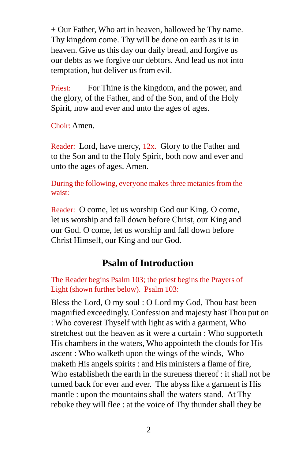+ Our Father, Who art in heaven, hallowed be Thy name. Thy kingdom come. Thy will be done on earth as it is in heaven. Give us this day our daily bread, and forgive us our debts as we forgive our debtors. And lead us not into temptation, but deliver us from evil.

Priest: For Thine is the kingdom, and the power, and the glory, of the Father, and of the Son, and of the Holy Spirit, now and ever and unto the ages of ages.

Choir: Amen.

Reader: Lord, have mercy, 12x. Glory to the Father and to the Son and to the Holy Spirit, both now and ever and unto the ages of ages. Amen.

During the following, everyone makes three metanies from the waist:

Reader: O come, let us worship God our King. O come, let us worship and fall down before Christ, our King and our God. O come, let us worship and fall down before Christ Himself, our King and our God.

## **Psalm of Introduction**

The Reader begins Psalm 103; the priest begins the Prayers of Light (shown further below). Psalm 103:

Bless the Lord, O my soul : O Lord my God, Thou hast been magnified exceedingly. Confession and majesty hast Thou put on : Who coverest Thyself with light as with a garment, Who stretchest out the heaven as it were a curtain : Who supporteth His chambers in the waters, Who appointeth the clouds for His ascent : Who walketh upon the wings of the winds, Who maketh His angels spirits : and His ministers a flame of fire, Who establisheth the earth in the sureness thereof : it shall not be turned back for ever and ever. The abyss like a garment is His mantle : upon the mountains shall the waters stand. At Thy rebuke they will flee : at the voice of Thy thunder shall they be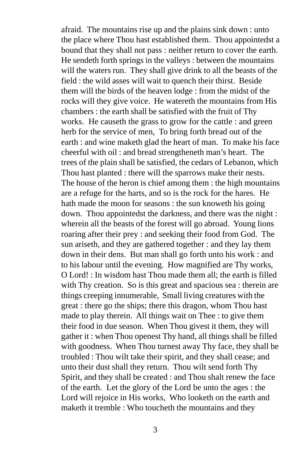afraid. The mountains rise up and the plains sink down : unto the place where Thou hast established them. Thou appointedst a bound that they shall not pass : neither return to cover the earth. He sendeth forth springs in the valleys : between the mountains will the waters run. They shall give drink to all the beasts of the field : the wild asses will wait to quench their thirst. Beside them will the birds of the heaven lodge : from the midst of the rocks will they give voice. He watereth the mountains from His chambers : the earth shall be satisfied with the fruit of Thy works. He causeth the grass to grow for the cattle : and green herb for the service of men, To bring forth bread out of the earth : and wine maketh glad the heart of man. To make his face cheerful with oil : and bread strengtheneth man's heart. The trees of the plain shall be satisfied, the cedars of Lebanon, which Thou hast planted : there will the sparrows make their nests. The house of the heron is chief among them : the high mountains are a refuge for the harts, and so is the rock for the hares. He hath made the moon for seasons : the sun knoweth his going down. Thou appointedst the darkness, and there was the night : wherein all the beasts of the forest will go abroad. Young lions roaring after their prey : and seeking their food from God. The sun ariseth, and they are gathered together : and they lay them down in their dens. But man shall go forth unto his work : and to his labour until the evening. How magnified are Thy works, O Lord! : In wisdom hast Thou made them all; the earth is filled with Thy creation. So is this great and spacious sea : therein are things creeping innumerable, Small living creatures with the great : there go the ships; there this dragon, whom Thou hast made to play therein. All things wait on Thee : to give them their food in due season. When Thou givest it them, they will gather it : when Thou openest Thy hand, all things shall be filled with goodness. When Thou turnest away Thy face, they shall be troubled : Thou wilt take their spirit, and they shall cease; and unto their dust shall they return. Thou wilt send forth Thy Spirit, and they shall be created : and Thou shalt renew the face of the earth. Let the glory of the Lord be unto the ages : the Lord will rejoice in His works, Who looketh on the earth and maketh it tremble : Who toucheth the mountains and they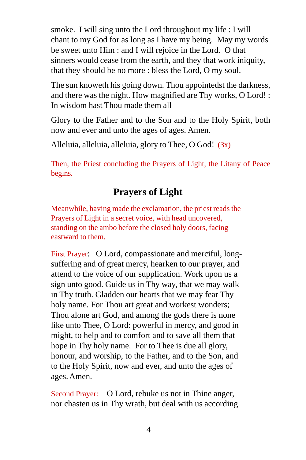smoke. I will sing unto the Lord throughout my life : I will chant to my God for as long as I have my being. May my words be sweet unto Him : and I will rejoice in the Lord. O that sinners would cease from the earth, and they that work iniquity, that they should be no more : bless the Lord, O my soul.

The sun knoweth his going down. Thou appointedst the darkness, and there was the night. How magnified are Thy works, O Lord! : In wisdom hast Thou made them all

Glory to the Father and to the Son and to the Holy Spirit, both now and ever and unto the ages of ages. Amen.

Alleluia, alleluia, alleluia, glory to Thee, O God! (3x)

Then, the Priest concluding the Prayers of Light, the Litany of Peace begins.

# **Prayers of Light**

Meanwhile, having made the exclamation, the priest reads the Prayers of Light in a secret voice, with head uncovered, standing on the ambo before the closed holy doors, facing eastward to them.

First Prayer: O Lord, compassionate and merciful, longsuffering and of great mercy, hearken to our prayer, and attend to the voice of our supplication. Work upon us a sign unto good. Guide us in Thy way, that we may walk in Thy truth. Gladden our hearts that we may fear Thy holy name. For Thou art great and workest wonders; Thou alone art God, and among the gods there is none like unto Thee, O Lord: powerful in mercy, and good in might, to help and to comfort and to save all them that hope in Thy holy name. For to Thee is due all glory, honour, and worship, to the Father, and to the Son, and to the Holy Spirit, now and ever, and unto the ages of ages. Amen.

Second Prayer: O Lord, rebuke us not in Thine anger, nor chasten us in Thy wrath, but deal with us according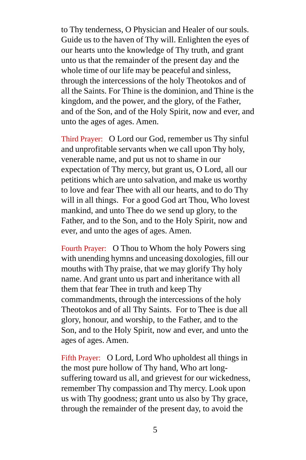to Thy tenderness, O Physician and Healer of our souls. Guide us to the haven of Thy will. Enlighten the eyes of our hearts unto the knowledge of Thy truth, and grant unto us that the remainder of the present day and the whole time of our life may be peaceful and sinless, through the intercessions of the holy Theotokos and of all the Saints. For Thine is the dominion, and Thine is the kingdom, and the power, and the glory, of the Father, and of the Son, and of the Holy Spirit, now and ever, and unto the ages of ages. Amen.

Third Prayer: O Lord our God, remember us Thy sinful and unprofitable servants when we call upon Thy holy, venerable name, and put us not to shame in our expectation of Thy mercy, but grant us, O Lord, all our petitions which are unto salvation, and make us worthy to love and fear Thee with all our hearts, and to do Thy will in all things. For a good God art Thou, Who lovest mankind, and unto Thee do we send up glory, to the Father, and to the Son, and to the Holy Spirit, now and ever, and unto the ages of ages. Amen.

Fourth Prayer: O Thou to Whom the holy Powers sing with unending hymns and unceasing doxologies, fill our mouths with Thy praise, that we may glorify Thy holy name. And grant unto us part and inheritance with all them that fear Thee in truth and keep Thy commandments, through the intercessions of the holy Theotokos and of all Thy Saints. For to Thee is due all glory, honour, and worship, to the Father, and to the Son, and to the Holy Spirit, now and ever, and unto the ages of ages. Amen.

Fifth Prayer: O Lord, Lord Who upholdest all things in the most pure hollow of Thy hand, Who art longsuffering toward us all, and grievest for our wickedness, remember Thy compassion and Thy mercy. Look upon us with Thy goodness; grant unto us also by Thy grace, through the remainder of the present day, to avoid the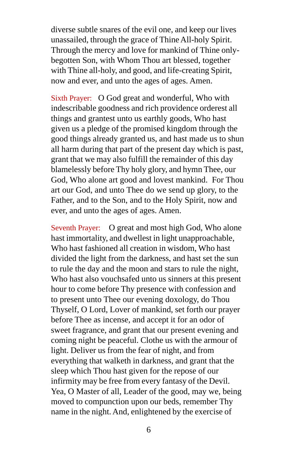diverse subtle snares of the evil one, and keep our lives unassailed, through the grace of Thine All-holy Spirit. Through the mercy and love for mankind of Thine onlybegotten Son, with Whom Thou art blessed, together with Thine all-holy, and good, and life-creating Spirit, now and ever, and unto the ages of ages. Amen.

Sixth Prayer: O God great and wonderful, Who with indescribable goodness and rich providence orderest all things and grantest unto us earthly goods, Who hast given us a pledge of the promised kingdom through the good things already granted us, and hast made us to shun all harm during that part of the present day which is past, grant that we may also fulfill the remainder of this day blamelessly before Thy holy glory, and hymn Thee, our God, Who alone art good and lovest mankind. For Thou art our God, and unto Thee do we send up glory, to the Father, and to the Son, and to the Holy Spirit, now and ever, and unto the ages of ages. Amen.

Seventh Prayer: O great and most high God, Who alone hast immortality, and dwellest in light unapproachable, Who hast fashioned all creation in wisdom, Who hast divided the light from the darkness, and hast set the sun to rule the day and the moon and stars to rule the night, Who hast also vouchsafed unto us sinners at this present hour to come before Thy presence with confession and to present unto Thee our evening doxology, do Thou Thyself, O Lord, Lover of mankind, set forth our prayer before Thee as incense, and accept it for an odor of sweet fragrance, and grant that our present evening and coming night be peaceful. Clothe us with the armour of light. Deliver us from the fear of night, and from everything that walketh in darkness, and grant that the sleep which Thou hast given for the repose of our infirmity may be free from every fantasy of the Devil. Yea, O Master of all, Leader of the good, may we, being moved to compunction upon our beds, remember Thy name in the night. And, enlightened by the exercise of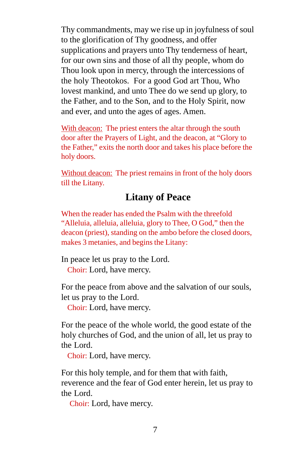Thy commandments, may we rise up in joyfulness of soul to the glorification of Thy goodness, and offer supplications and prayers unto Thy tenderness of heart, for our own sins and those of all thy people, whom do Thou look upon in mercy, through the intercessions of the holy Theotokos. For a good God art Thou, Who lovest mankind, and unto Thee do we send up glory, to the Father, and to the Son, and to the Holy Spirit, now and ever, and unto the ages of ages. Amen.

With deacon: The priest enters the altar through the south door after the Prayers of Light, and the deacon, at "Glory to the Father," exits the north door and takes his place before the holy doors.

Without deacon: The priest remains in front of the holy doors till the Litany.

## **Litany of Peace**

When the reader has ended the Psalm with the threefold "Alleluia, alleluia, alleluia, glory to Thee, O God," then the deacon (priest), standing on the ambo before the closed doors, makes 3 metanies, and begins the Litany:

In peace let us pray to the Lord. Choir: Lord, have mercy.

For the peace from above and the salvation of our souls, let us pray to the Lord.

Choir: Lord, have mercy.

For the peace of the whole world, the good estate of the holy churches of God, and the union of all, let us pray to the Lord.

Choir: Lord, have mercy.

For this holy temple, and for them that with faith, reverence and the fear of God enter herein, let us pray to the Lord.

**Choir:** Lord, have mercy.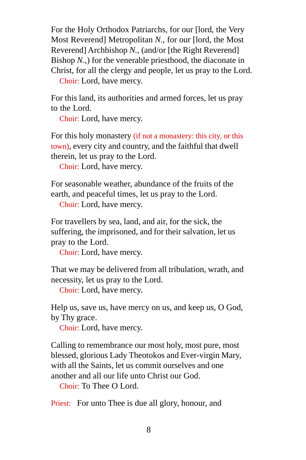For the Holy Orthodox Patriarchs, for our [lord, the Very Most Reverend] Metropolitan *N.*, for our [lord, the Most Reverend] Archbishop *N.*, (and/or [the Right Reverend] Bishop *N*.,) for the venerable priesthood, the diaconate in Christ, for all the clergy and people, let us pray to the Lord. *Choir:* Lord, have mercy.

For this land, its authorities and armed forces, let us pray to the Lord.

*Choir:* Lord, have mercy.

For this holy monastery (if not a monastery: this city, or this town), every city and country, and the faithful that dwell therein, let us pray to the Lord.

**Choir:** Lord, have mercy.

For seasonable weather, abundance of the fruits of the earth, and peaceful times, let us pray to the Lord.

*Choir:* Lord, have mercy.

For travellers by sea, land, and air, for the sick, the suffering, the imprisoned, and for their salvation, let us pray to the Lord.

*Choir:* Lord, have mercy.

That we may be delivered from all tribulation, wrath, and necessity, let us pray to the Lord.

*Choir:* Lord, have mercy.

Help us, save us, have mercy on us, and keep us, O God, by Thy grace.

*Choir:* Lord, have mercy.

Calling to remembrance our most holy, most pure, most blessed, glorious Lady Theotokos and Ever-virgin Mary, with all the Saints, let us commit ourselves and one another and all our life unto Christ our God.

*Choir:* To Thee O Lord.

Priest: For unto Thee is due all glory, honour, and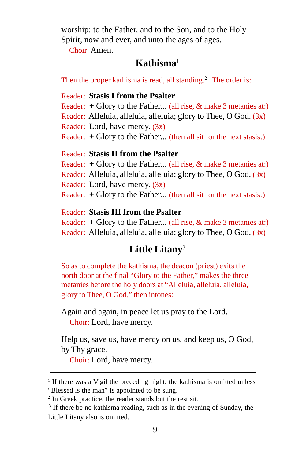worship: to the Father, and to the Son, and to the Holy Spirit, now and ever, and unto the ages of ages.

Choir: Amen.

## **Kathisma**<sup>1</sup>

Then the proper kathisma is read, all standing.<sup>2</sup> The order is:

#### Reader: **Stasis I from the Psalter**

Reader:  $+$  Glory to the Father... (all rise,  $&$  make 3 metanies at:)

- Reader: Alleluia, alleluia, alleluia; glory to Thee, O God. (3x)
- Reader: Lord, have mercy. (3x)
- Reader: + Glory to the Father... (then all sit for the next stasis:)

#### Reader: **Stasis II from the Psalter**

Reader:  $+$  Glory to the Father... (all rise,  $&$  make 3 metanies at:)

- Reader: Alleluia, alleluia, alleluia; glory to Thee, O God. (3x)
- Reader: Lord, have mercy. (3x)
- Reader:  $+$  Glory to the Father... (then all sit for the next stasis:)

#### Reader: **Stasis III from the Psalter**

Reader:  $+$  Glory to the Father... (all rise,  $&$  make 3 metanies at:) Reader: Alleluia, alleluia, alleluia; glory to Thee, O God. (3x)

# **Little Litany**<sup>3</sup>

So as to complete the kathisma, the deacon (priest) exits the north door at the final "Glory to the Father," makes the three metanies before the holy doors at "Alleluia, alleluia, alleluia, glory to Thee, O God," then intones:

Again and again, in peace let us pray to the Lord. *Choir:* Lord, have mercy.

Help us, save us, have mercy on us, and keep us, O God, by Thy grace.

**Choir:** Lord, have mercy.

<sup>&</sup>lt;sup>1</sup> If there was a Vigil the preceding night, the kathisma is omitted unless "Blessed is the man" is appointed to be sung.

<sup>2</sup> In Greek practice, the reader stands but the rest sit.

<sup>&</sup>lt;sup>3</sup> If there be no kathisma reading, such as in the evening of Sunday, the Little Litany also is omitted.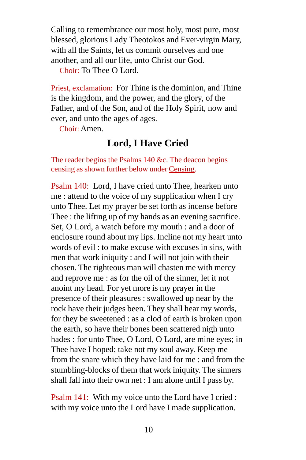Calling to remembrance our most holy, most pure, most blessed, glorious Lady Theotokos and Ever-virgin Mary, with all the Saints, let us commit ourselves and one another, and all our life, unto Christ our God.

*Choir:* To Thee O Lord.

Priest, exclamation: For Thine is the dominion, and Thine is the kingdom, and the power, and the glory, of the Father, and of the Son, and of the Holy Spirit, now and ever, and unto the ages of ages.

Choir: Amen.

## **Lord, I Have Cried**

The reader begins the Psalms 140 &c. The deacon begins censing as shown further below under Censing.

Psalm 140: Lord, I have cried unto Thee, hearken unto me : attend to the voice of my supplication when I cry unto Thee. Let my prayer be set forth as incense before Thee : the lifting up of my hands as an evening sacrifice. Set, O Lord, a watch before my mouth : and a door of enclosure round about my lips. Incline not my heart unto words of evil : to make excuse with excuses in sins, with men that work iniquity : and I will not join with their chosen. The righteous man will chasten me with mercy and reprove me : as for the oil of the sinner, let it not anoint my head. For yet more is my prayer in the presence of their pleasures : swallowed up near by the rock have their judges been. They shall hear my words, for they be sweetened : as a clod of earth is broken upon the earth, so have their bones been scattered nigh unto hades : for unto Thee, O Lord, O Lord, are mine eyes; in Thee have I hoped; take not my soul away. Keep me from the snare which they have laid for me : and from the stumbling-blocks of them that work iniquity. The sinners shall fall into their own net : I am alone until I pass by.

Psalm 141: With my voice unto the Lord have I cried : with my voice unto the Lord have I made supplication.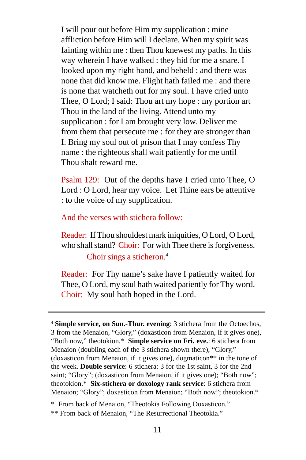I will pour out before Him my supplication : mine affliction before Him will I declare. When my spirit was fainting within me : then Thou knewest my paths. In this way wherein I have walked : they hid for me a snare. I looked upon my right hand, and beheld : and there was none that did know me. Flight hath failed me : and there is none that watcheth out for my soul. I have cried unto Thee, O Lord; I said: Thou art my hope : my portion art Thou in the land of the living. Attend unto my supplication : for I am brought very low. Deliver me from them that persecute me : for they are stronger than I. Bring my soul out of prison that I may confess Thy name : the righteous shall wait patiently for me until Thou shalt reward me.

Psalm 129: Out of the depths have I cried unto Thee, O Lord : O Lord, hear my voice. Let Thine ears be attentive : to the voice of my supplication.

#### And the verses with stichera follow:

Reader: If Thou shouldest mark iniquities, O Lord, O Lord, who shall stand? Choir: For with Thee there is forgiveness.

#### Choir sings a sticheron. 4

Reader: For Thy name's sake have I patiently waited for Thee, O Lord, my soul hath waited patiently for Thy word. Choir: My soul hath hoped in the Lord.

<sup>4</sup> **Simple service, on Sun.-Thur. evening**: 3 stichera from the Octoechos, 3 from the Menaion, "Glory," (doxasticon from Menaion, if it gives one), "Both now," theotokion.\* **Simple service on Fri. eve.**: 6 stichera from Menaion (doubling each of the 3 stichera shown there), "Glory," (doxasticon from Menaion, if it gives one), dogmaticon\*\* in the tone of the week. **Double service**: 6 stichera: 3 for the 1st saint, 3 for the 2nd saint; "Glory"; (doxasticon from Menaion, if it gives one); "Both now"; theotokion.\* **Six-stichera or doxology rank service**: 6 stichera from Menaion; "Glory"; doxasticon from Menaion; "Both now"; theotokion.\*

<sup>\*</sup> From back of Menaion, "Theotokia Following Doxasticon." \*\* From back of Menaion, "The Resurrectional Theotokia."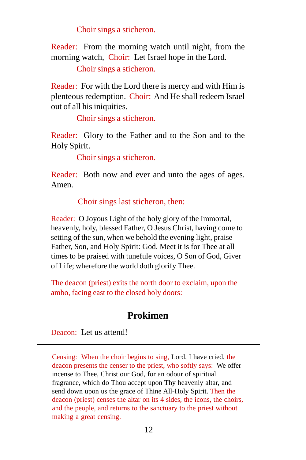Choir sings a sticheron.

Reader: From the morning watch until night, from the morning watch, Choir: Let Israel hope in the Lord.

Choir sings a sticheron.

Reader: For with the Lord there is mercy and with Him is plenteous redemption. Choir: And He shall redeem Israel out of all his iniquities.

Choir sings a sticheron.

Reader: Glory to the Father and to the Son and to the Holy Spirit.

Choir sings a sticheron.

Reader: Both now and ever and unto the ages of ages. Amen.

#### Choir sings last sticheron, then:

Reader: O Joyous Light of the holy glory of the Immortal, heavenly, holy, blessed Father, O Jesus Christ, having come to setting of the sun, when we behold the evening light, praise Father, Son, and Holy Spirit: God. Meet it is for Thee at all times to be praised with tunefule voices, O Son of God, Giver of Life; wherefore the world doth glorify Thee.

The deacon (priest) exits the north door to exclaim, upon the ambo, facing east to the closed holy doors:

## **Prokimen**

Deacon: Let us attend!

Censing: When the choir begins to sing, Lord, I have cried, the deacon presents the censer to the priest, who softly says: We offer incense to Thee, Christ our God, for an odour of spiritual fragrance, which do Thou accept upon Thy heavenly altar, and send down upon us the grace of Thine All-Holy Spirit. Then the deacon (priest) censes the altar on its 4 sides, the icons, the choirs, and the people, and returns to the sanctuary to the priest without making a great censing.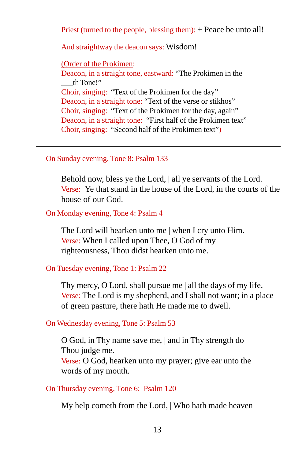Priest (turned to the people, blessing them): + Peace be unto all!

And straightway the deacon says: Wisdom!

(Order of the Prokimen:

Deacon, in a straight tone, eastward: "The Prokimen in the \_\_\_th Tone!" Choir, singing: "Text of the Prokimen for the day" Deacon, in a straight tone: "Text of the verse or stikhos" Choir, singing: "Text of the Prokimen for the day, again" Deacon, in a straight tone: "First half of the Prokimen text" Choir, singing: "Second half of the Prokimen text")

On Sunday evening, Tone 8: Psalm 133

Behold now, bless ye the Lord, | all ye servants of the Lord. Verse:Ye that stand in the house of the Lord, in the courts of the house of our God.

On Monday evening, Tone 4: Psalm 4

The Lord will hearken unto me | when I cry unto Him. Verse: When I called upon Thee, O God of my righteousness, Thou didst hearken unto me.

On Tuesday evening, Tone 1: Psalm 22

Thy mercy, O Lord, shall pursue me | all the days of my life. Verse: The Lord is my shepherd, and I shall not want; in a place of green pasture, there hath He made me to dwell.

On Wednesday evening, Tone 5: Psalm 53

O God, in Thy name save me, | and in Thy strength do Thou judge me.

Verse: O God, hearken unto my prayer; give ear unto the words of my mouth.

On Thursday evening, Tone 6: Psalm 120

My help cometh from the Lord, | Who hath made heaven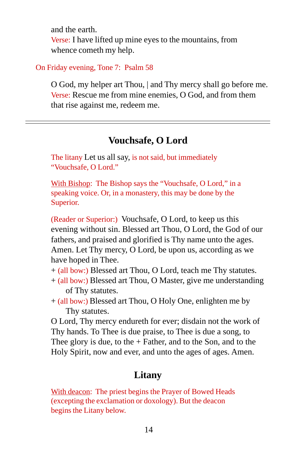and the earth. Verse: I have lifted up mine eyes to the mountains, from whence cometh my help.

On Friday evening, Tone 7: Psalm 58

O God, my helper art Thou, | and Thy mercy shall go before me. Verse: Rescue me from mine enemies, O God, and from them that rise against me, redeem me.

## **Vouchsafe, O Lord**

The litany Let us all say, is not said, but immediately "Vouchsafe, O Lord."

With Bishop: The Bishop says the "Vouchsafe, O Lord," in a speaking voice. Or, in a monastery, this may be done by the Superior.

(Reader or Superior:) Vouchsafe, O Lord, to keep us this evening without sin. Blessed art Thou, O Lord, the God of our fathers, and praised and glorified is Thy name unto the ages. Amen. Let Thy mercy, O Lord, be upon us, according as we have hoped in Thee.

+ (all bow:) Blessed art Thou, O Lord, teach me Thy statutes.

- + (all bow:) Blessed art Thou, O Master, give me understanding of Thy statutes.
- + (all bow:) Blessed art Thou, O Holy One, enlighten me by Thy statutes.

O Lord, Thy mercy endureth for ever; disdain not the work of Thy hands. To Thee is due praise, to Thee is due a song, to Thee glory is due, to the  $+$  Father, and to the Son, and to the Holy Spirit, now and ever, and unto the ages of ages. Amen.

## **Litany**

With deacon: The priest begins the Prayer of Bowed Heads (excepting the exclamation or doxology). But the deacon begins the Litany below.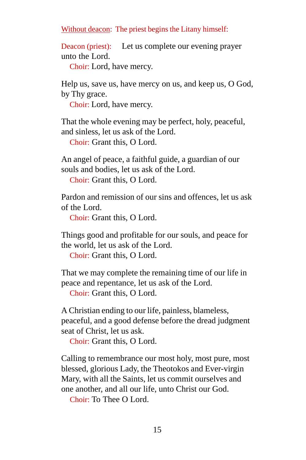Without deacon: The priest begins the Litany himself:

Deacon (priest): Let us complete our evening prayer unto the Lord.

*Choir:* Lord, have mercy.

Help us, save us, have mercy on us, and keep us, O God, by Thy grace.

**Choir:** Lord, have mercy.

That the whole evening may be perfect, holy, peaceful, and sinless, let us ask of the Lord.

*Choir: Grant this, O Lord.* 

An angel of peace, a faithful guide, a guardian of our souls and bodies, let us ask of the Lord.

*Choir: Grant this, O Lord.* 

Pardon and remission of our sins and offences, let us ask of the Lord.

Choir: Grant this, O Lord.

Things good and profitable for our souls, and peace for the world, let us ask of the Lord.

*Choir: Grant this, O Lord.* 

That we may complete the remaining time of our life in peace and repentance, let us ask of the Lord.

Choir: Grant this, O Lord.

A Christian ending to our life, painless, blameless, peaceful, and a good defense before the dread judgment seat of Christ, let us ask.

Choir: Grant this, O Lord.

Calling to remembrance our most holy, most pure, most blessed, glorious Lady, the Theotokos and Ever-virgin Mary, with all the Saints, let us commit ourselves and one another, and all our life, unto Christ our God.

*Choir:* To Thee O Lord.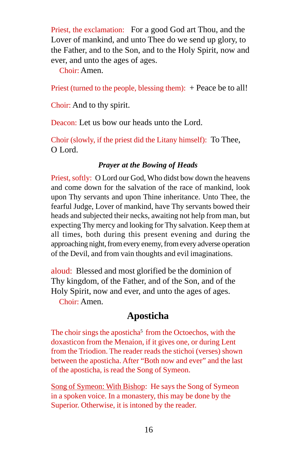Priest, the exclamation: For a good God art Thou, and the Lover of mankind, and unto Thee do we send up glory, to the Father, and to the Son, and to the Holy Spirit, now and ever, and unto the ages of ages.

Choir: Amen.

Priest (turned to the people, blessing them): + Peace be to all!

Choir: And to thy spirit.

Deacon: Let us bow our heads unto the Lord.

Choir (slowly, if the priest did the Litany himself): To Thee, O Lord.

#### *Prayer at the Bowing of Heads*

Priest, softly:O Lord our God, Who didst bow down the heavens and come down for the salvation of the race of mankind, look upon Thy servants and upon Thine inheritance. Unto Thee, the fearful Judge, Lover of mankind, have Thy servants bowed their heads and subjected their necks, awaiting not help from man, but expecting Thy mercy and looking for Thy salvation. Keep them at all times, both during this present evening and during the approaching night, from every enemy, from every adverse operation of the Devil, and from vain thoughts and evil imaginations.

aloud: Blessed and most glorified be the dominion of Thy kingdom, of the Father, and of the Son, and of the Holy Spirit, now and ever, and unto the ages of ages.

Choir: Amen.

## **Aposticha**

The choir sings the aposticha<sup>5</sup> from the Octoechos, with the doxasticon from the Menaion, if it gives one, or during Lent from the Triodion. The reader reads the stichoi (verses) shown between the aposticha. After "Both now and ever" and the last of the aposticha, is read the Song of Symeon.

Song of Symeon: With Bishop: He says the Song of Symeon in a spoken voice. In a monastery, this may be done by the Superior. Otherwise, it is intoned by the reader.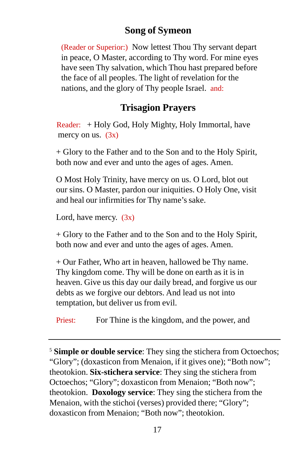## **Song of Symeon**

(Reader or Superior:) Now lettest Thou Thy servant depart in peace, O Master, according to Thy word. For mine eyes have seen Thy salvation, which Thou hast prepared before the face of all peoples. The light of revelation for the nations, and the glory of Thy people Israel. and:

## **Trisagion Prayers**

 Reader: + Holy God, Holy Mighty, Holy Immortal, have mercy on us.  $(3x)$ 

+ Glory to the Father and to the Son and to the Holy Spirit, both now and ever and unto the ages of ages. Amen.

O Most Holy Trinity, have mercy on us. O Lord, blot out our sins. O Master, pardon our iniquities. O Holy One, visit and heal our infirmities for Thy name's sake.

Lord, have mercy.  $(3x)$ 

+ Glory to the Father and to the Son and to the Holy Spirit, both now and ever and unto the ages of ages. Amen.

+ Our Father, Who art in heaven, hallowed be Thy name. Thy kingdom come. Thy will be done on earth as it is in heaven. Give us this day our daily bread, and forgive us our debts as we forgive our debtors. And lead us not into temptation, but deliver us from evil.

Priest: For Thine is the kingdom, and the power, and

<sup>5</sup> **Simple or double service**: They sing the stichera from Octoechos; "Glory"; (doxasticon from Menaion, if it gives one); "Both now"; theotokion. **Six-stichera service**: They sing the stichera from Octoechos; "Glory"; doxasticon from Menaion; "Both now"; theotokion. **Doxology service**: They sing the stichera from the Menaion, with the stichoi (verses) provided there; "Glory"; doxasticon from Menaion; "Both now"; theotokion.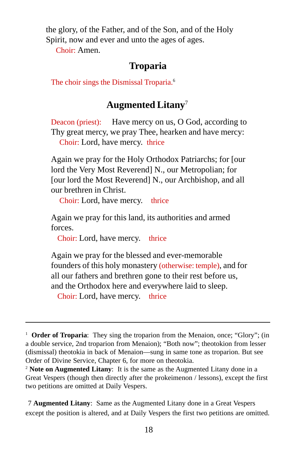the glory, of the Father, and of the Son, and of the Holy Spirit, now and ever and unto the ages of ages.

Choir: Amen.

### **Troparia**

The choir sings the Dismissal Troparia.<sup>6</sup>

## **Augmented Litany**<sup>7</sup>

Deacon (priest): Have mercy on us, O God, according to Thy great mercy, we pray Thee, hearken and have mercy: *Choir: Lord, have mercy. thrice* 

Again we pray for the Holy Orthodox Patriarchs; for [our lord the Very Most Reverend] N., our Metropolian; for [our lord the Most Reverend] N., our Archbishop, and all our brethren in Christ.

**Choir:** Lord, have mercy. thrice

Again we pray for this land, its authorities and armed forces.

*Choir: Lord, have mercy.* thrice

Again we pray for the blessed and ever-memorable founders of this holy monastery (otherwise: temple), and for all our fathers and brethren gone to their rest before us, and the Orthodox here and everywhere laid to sleep. *Choir: Lord, have mercy.* thrice

7 **Augmented Litany**: Same as the Augmented Litany done in a Great Vespers except the position is altered, and at Daily Vespers the first two petitions are omitted.

<sup>&</sup>lt;sup>1</sup> **Order of Troparia**: They sing the troparion from the Menaion, once; "Glory"; (in a double service, 2nd troparion from Menaion); "Both now"; theotokion from lesser (dismissal) theotokia in back of Menaion—sung in same tone as troparion. But see Order of Divine Service, Chapter 6, for more on theotokia.

<sup>2</sup> **Note on Augmented Litany**: It is the same as the Augmented Litany done in a Great Vespers (though then directly after the prokeimenon / lessons), except the first two petitions are omitted at Daily Vespers.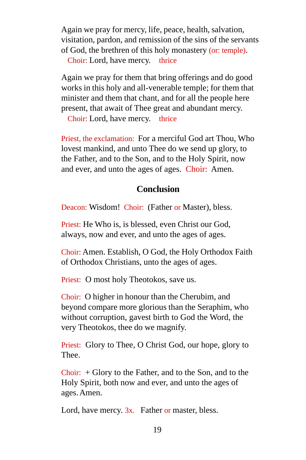Again we pray for mercy, life, peace, health, salvation, visitation, pardon, and remission of the sins of the servants of God, the brethren of this holy monastery (or: temple). *Choir: Lord, have mercy.* thrice

Again we pray for them that bring offerings and do good works in this holy and all-venerable temple; for them that minister and them that chant, and for all the people here present, that await of Thee great and abundant mercy.

*Choir: Lord, have mercy.* thrice

Priest, the exclamation: For a merciful God art Thou, Who lovest mankind, and unto Thee do we send up glory, to the Father, and to the Son, and to the Holy Spirit, now and ever, and unto the ages of ages. Choir: Amen.

#### **Conclusion**

Deacon: Wisdom! Choir: (Father or Master), bless.

Priest: He Who is, is blessed, even Christ our God, always, now and ever, and unto the ages of ages.

Choir: Amen. Establish, O God, the Holy Orthodox Faith of Orthodox Christians, unto the ages of ages.

Priest: O most holy Theotokos, save us.

Choir: O higher in honour than the Cherubim, and beyond compare more glorious than the Seraphim, who without corruption, gavest birth to God the Word, the very Theotokos, thee do we magnify.

Priest: Glory to Thee, O Christ God, our hope, glory to Thee.

Choir:  $+$  Glory to the Father, and to the Son, and to the Holy Spirit, both now and ever, and unto the ages of ages. Amen.

Lord, have mercy. 3x. Father or master, bless.